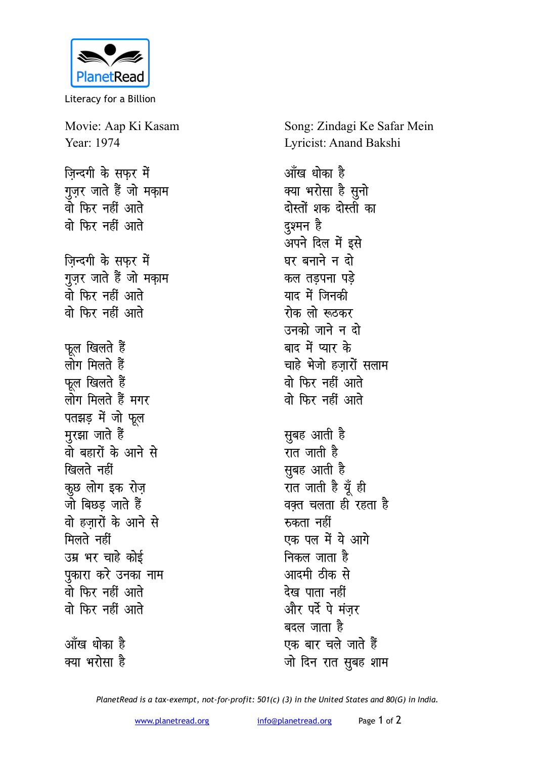

Literacy for a Billion

Movie: Aap Ki Kasam Year: 1974 जिन्दगी के सफर में गुज़र जाते हैं जो मक़ाम वो फिर नहीं आते वो फिर नहीं आते

जिन्दगी के सफर में गुज़र जाते हैं जो मक़ाम वो फिर नहीं आते वो फिर नहीं आते

फूल खिलते हैं लोग मिलते हैं फूल खिलते हैं लोग मिलते हैं मगर पतझड़ में जो फूल मुरझा जाते हैं वो बहारों के आने से खिलते नहीं कूछ लोग इक रोज़ जो बिछड़ जाते हैं वो हजारों के आने से मिलते नहीं उम्र भर चाहे कोई पुकारा करे उनका नाम वो फिर नहीं आते वो फिर नहीं आते आँख धोका ह<del>ै</del>

क्या भरोसा है

Song: Zindagi Ke Safar Mein Lyricist: Anand Bakshi

आँख धोका है क्या भरोसा है सूनो दोस्तों शक दोस्ती का दुश्मन है अपने दिल में इसे घर बनाने न दो कल तडपना पडे याद में जिनकी रोक लो रूठकर उनको जाने न दो बाद में प्यार के चाहे भेजो हजारों सलाम वो फिर नहीं आते वो फिर नहीं आते सुबह आती है रात जाती है सुबह आती है रात जाती है यूँ ही वक्त चलता ही रहता है रुकता नहीं एक पल में ये आगे निकल जाता है आदमी ठीक से देख पाता नहीं और पर्दे पे मंजर बदल जाता है एक बार चले जाते हैं जो दिन रात सुबह शाम

PlanetRead is a tax-exempt, not-for-profit: 501(c) (3) in the United States and 80(G) in India.